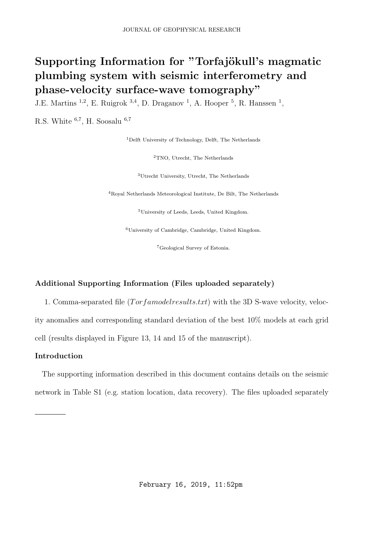## Supporting Information for "Torfajökull's magmatic plumbing system with seismic interferometry and phase-velocity surface-wave tomography"

J.E. Martins <sup>1,2</sup>, E. Ruigrok <sup>3,4</sup>, D. Draganov <sup>1</sup>, A. Hooper <sup>5</sup>, R. Hanssen <sup>1</sup>,

R.S. White  $^{6,7}$ , H. Soosalu  $^{6,7}$ 

<sup>1</sup>Delft University of Technology, Delft, The Netherlands

<sup>2</sup>TNO, Utrecht, The Netherlands

<sup>3</sup>Utrecht University, Utrecht, The Netherlands

<sup>4</sup>Royal Netherlands Meteorological Institute, De Bilt, The Netherlands

<sup>5</sup>University of Leeds, Leeds, United Kingdom.

<sup>6</sup>University of Cambridge, Cambridge, United Kingdom.

<sup>7</sup>Geological Survey of Estonia.

## Additional Supporting Information (Files uploaded separately)

1. Comma-separated file  $(Torfamodel results.txt)$  with the 3D S-wave velocity, velocity anomalies and corresponding standard deviation of the best 10% models at each grid cell (results displayed in Figure 13, 14 and 15 of the manuscript).

## Introduction

The supporting information described in this document contains details on the seismic network in Table S1 (e.g. station location, data recovery). The files uploaded separately

February 16, 2019, 11:52pm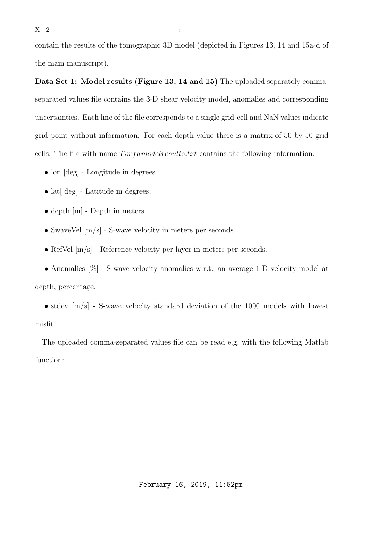$X - 2$  :

contain the results of the tomographic 3D model (depicted in Figures 13, 14 and 15a-d of the main manuscript).

Data Set 1: Model results (Figure 13, 14 and 15) The uploaded separately commaseparated values file contains the 3-D shear velocity model, anomalies and corresponding uncertainties. Each line of the file corresponds to a single grid-cell and NaN values indicate grid point without information. For each depth value there is a matrix of 50 by 50 grid cells. The file with name  $Torf a model results.txt$  contains the following information:

- lon  $[\text{deg}]$  Longitude in degrees.
- lat $\lceil \text{deg} \rceil$  Latitude in degrees.
- depth [m] Depth in meters.
- SwaveVel  $[m/s]$  S-wave velocity in meters per seconds.
- RefVel  $[m/s]$  Reference velocity per layer in meters per seconds.
- Anomalies [%] S-wave velocity anomalies w.r.t. an average 1-D velocity model at

depth, percentage.

• stdev  $[m/s]$  - S-wave velocity standard deviation of the 1000 models with lowest misfit.

The uploaded comma-separated values file can be read e.g. with the following Matlab function: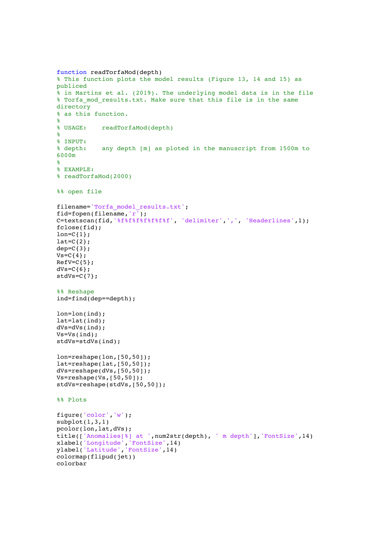```
function readTorfaMod(depth)
% This function plots the model results (Figure 13, 14 and 15) as 
publiced
% in Martins et al. (2019). The underlying model data is in the file
% Torfa_mod_results.txt. Make sure that this file is in the same 
directory
% as this function.
\mathbf{R}% USAGE: readTorfaMod(depth)
\epsilon% INPUT:
% depth: any depth [m] as ploted in the manuscript from 1500m to 
6000m
%
% EXAMPLE: 
% readTorfaMod(2000)
%% open file
filename='Torfa_model_results.txt';
fid=fopen(filename,'r');
C=textscan(fid,'%f%f%f%f%f%f%f', 'delimiter',',', 'Headerlines',1);
fclose(fid);
lon=C\{1\};
lat=C(2);dep=C(3);
Vs=C{4};RefV=C_{5};
dVs=C{6};stdVs=C{7};
%% Reshape
ind=find(dep==depth);
lon=lon(ind);
lat=lat(ind);
dVs=dVs(ind);
Vs=Vs(ind);
stdVs=stdVs(ind);
lon=reshape(lon,[50,50]);
lat=reshape(lat,[50,50]);
dVs=reshape(dVs,[50,50]);
Vs=reshape(Vs,[50,50]);
stdVs=reshape(stdVs,[50,50]);
%% Plots
figure('color','w');
subplot(1,3,1)pcolor(lon,lat,dVs);
title(['Anomalies[%] at ',num2str(depth), ' m depth'],'FontSize',14) 
xlabel('Longitude','FontSize',14) 
ylabel('Latitude','FontSize',14)
colormap(flipud(jet))
colorbar
```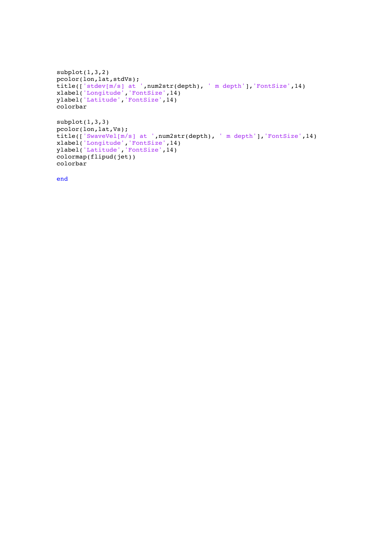```
subplot(1,3,2)pcolor(lon,lat,stdVs);
title(['stdev[m/s] at ',num2str(depth), ' m depth'],'FontSize',14) 
xlabel('Longitude','FontSize',14) 
ylabel('Latitude','FontSize',14)
colorbar
subplot(1,3,3)pcolor(lon,lat,Vs);
title(['SwaveVel[m/s] at ',num2str(depth), ' m depth'],'FontSize',14) 
xlabel('Longitude','FontSize',14) 
ylabel('Latitude','FontSize',14)
colormap(flipud(jet))
colorbar
```
end